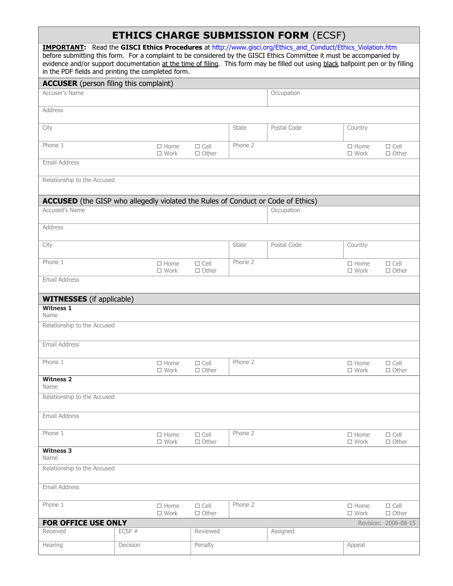## **ETHICS CHARGE SUBMISSION FORM** (ECSF)

| $\sqrt{2}$<br>IMPORTANT: Read the GISCI Ethics Procedures at http://www.gisci.org/Ethics_and_Conduct/Ethics_Violation.htm<br>before submitting this form. For a complaint to be considered by the GISCI Ethics Committee it must be accompanied by<br>evidence and/or support documentation at the time of filing. This form may be filled out using black ballpoint pen or by filling<br>in the PDF fields and printing the completed form. |                                                                                         |                                |              |             |                               |                             |  |
|----------------------------------------------------------------------------------------------------------------------------------------------------------------------------------------------------------------------------------------------------------------------------------------------------------------------------------------------------------------------------------------------------------------------------------------------|-----------------------------------------------------------------------------------------|--------------------------------|--------------|-------------|-------------------------------|-----------------------------|--|
| <b>ACCUSER</b> (person filing this complaint)                                                                                                                                                                                                                                                                                                                                                                                                |                                                                                         |                                |              |             |                               |                             |  |
| <b>Accuser's Name</b>                                                                                                                                                                                                                                                                                                                                                                                                                        |                                                                                         |                                |              | Occupation  |                               |                             |  |
| Address                                                                                                                                                                                                                                                                                                                                                                                                                                      |                                                                                         |                                |              |             |                               |                             |  |
| City                                                                                                                                                                                                                                                                                                                                                                                                                                         |                                                                                         |                                | State        | Postal Code | Country                       |                             |  |
| Phone 1                                                                                                                                                                                                                                                                                                                                                                                                                                      | $\Box$ Home<br>$\square$ Work                                                           | $\Box$ Cell<br>$\square$ Other | Phone 2      |             | $\Box$ Home<br>$\square$ Work | $\Box$ Cell<br>$\Box$ Other |  |
| Email Address                                                                                                                                                                                                                                                                                                                                                                                                                                |                                                                                         |                                |              |             |                               |                             |  |
| Relationship to the Accused                                                                                                                                                                                                                                                                                                                                                                                                                  |                                                                                         |                                |              |             |                               |                             |  |
|                                                                                                                                                                                                                                                                                                                                                                                                                                              | <b>ACCUSED</b> (the GISP who allegedly violated the Rules of Conduct or Code of Ethics) |                                |              |             |                               |                             |  |
| Accused's Name                                                                                                                                                                                                                                                                                                                                                                                                                               |                                                                                         |                                |              | Occupation  |                               |                             |  |
| Address                                                                                                                                                                                                                                                                                                                                                                                                                                      |                                                                                         |                                |              |             |                               |                             |  |
| City                                                                                                                                                                                                                                                                                                                                                                                                                                         |                                                                                         |                                | <b>State</b> | Postal Code | Country                       |                             |  |
| Phone 1                                                                                                                                                                                                                                                                                                                                                                                                                                      | $\Box$ Home<br>$\square$ Work                                                           | $\Box$ Cell<br>$\Box$ Other    | Phone 2      |             | $\Box$ Home<br>$\square$ Work | $\Box$ Cell<br>$\Box$ Other |  |
| Email Address                                                                                                                                                                                                                                                                                                                                                                                                                                |                                                                                         |                                |              |             |                               |                             |  |
| <b>WITNESSES</b> (if applicable)                                                                                                                                                                                                                                                                                                                                                                                                             |                                                                                         |                                |              |             |                               |                             |  |
| <b>Witness 1</b><br>Name                                                                                                                                                                                                                                                                                                                                                                                                                     |                                                                                         |                                |              |             |                               |                             |  |
| Relationship to the Accused                                                                                                                                                                                                                                                                                                                                                                                                                  |                                                                                         |                                |              |             |                               |                             |  |
| Email Address                                                                                                                                                                                                                                                                                                                                                                                                                                |                                                                                         |                                |              |             |                               |                             |  |
| Phone 1                                                                                                                                                                                                                                                                                                                                                                                                                                      | $\Box$ Home<br>$\square$ Work                                                           | $\Box$ Cell<br>$\Box$ Other    | Phone 2      |             | $\Box$ Home<br>$\square$ Work | $\Box$ Cell<br>$\Box$ Other |  |
| <b>Witness 2</b><br>Name                                                                                                                                                                                                                                                                                                                                                                                                                     |                                                                                         |                                |              |             |                               |                             |  |
| Relationship to the Accused                                                                                                                                                                                                                                                                                                                                                                                                                  |                                                                                         |                                |              |             |                               |                             |  |
| Email Address                                                                                                                                                                                                                                                                                                                                                                                                                                |                                                                                         |                                |              |             |                               |                             |  |
| Phone 1                                                                                                                                                                                                                                                                                                                                                                                                                                      | $\Box$ Home<br>$\square$ Work                                                           | $\Box$ Cell<br>$\Box$ Other    | Phone 2      |             | $\Box$ Home<br>$\square$ Work | $\Box$ Cell<br>$\Box$ Other |  |
| <b>Witness 3</b><br>Name                                                                                                                                                                                                                                                                                                                                                                                                                     |                                                                                         |                                |              |             |                               |                             |  |
| Relationship to the Accused                                                                                                                                                                                                                                                                                                                                                                                                                  |                                                                                         |                                |              |             |                               |                             |  |
| Email Address                                                                                                                                                                                                                                                                                                                                                                                                                                |                                                                                         |                                |              |             |                               |                             |  |
| Phone 1                                                                                                                                                                                                                                                                                                                                                                                                                                      | $\Box$ Home<br>$\square$ Work                                                           | $\Box$ Cell<br>$\Box$ Other    | Phone 2      |             | $\Box$ Home<br>$\square$ Work | $\Box$ Cell<br>$\Box$ Other |  |
| FOR OFFICE USE ONLY                                                                                                                                                                                                                                                                                                                                                                                                                          |                                                                                         |                                |              |             |                               | Revision: 2006-08-15        |  |
| Received                                                                                                                                                                                                                                                                                                                                                                                                                                     | ECSF#                                                                                   | Reviewed                       |              | Assigned    |                               |                             |  |
| Hearing                                                                                                                                                                                                                                                                                                                                                                                                                                      | Decision                                                                                | Penalty                        |              |             | Appeal                        |                             |  |